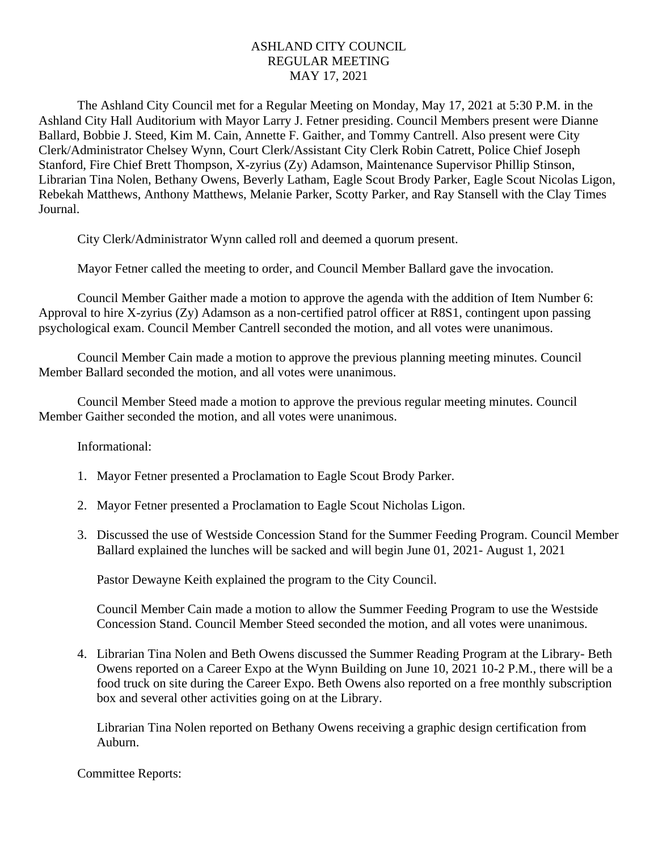## ASHLAND CITY COUNCIL REGULAR MEETING MAY 17, 2021

The Ashland City Council met for a Regular Meeting on Monday, May 17, 2021 at 5:30 P.M. in the Ashland City Hall Auditorium with Mayor Larry J. Fetner presiding. Council Members present were Dianne Ballard, Bobbie J. Steed, Kim M. Cain, Annette F. Gaither, and Tommy Cantrell. Also present were City Clerk/Administrator Chelsey Wynn, Court Clerk/Assistant City Clerk Robin Catrett, Police Chief Joseph Stanford, Fire Chief Brett Thompson, X-zyrius (Zy) Adamson, Maintenance Supervisor Phillip Stinson, Librarian Tina Nolen, Bethany Owens, Beverly Latham, Eagle Scout Brody Parker, Eagle Scout Nicolas Ligon, Rebekah Matthews, Anthony Matthews, Melanie Parker, Scotty Parker, and Ray Stansell with the Clay Times Journal.

City Clerk/Administrator Wynn called roll and deemed a quorum present.

Mayor Fetner called the meeting to order, and Council Member Ballard gave the invocation.

Council Member Gaither made a motion to approve the agenda with the addition of Item Number 6: Approval to hire X-zyrius (Zy) Adamson as a non-certified patrol officer at R8S1, contingent upon passing psychological exam. Council Member Cantrell seconded the motion, and all votes were unanimous.

Council Member Cain made a motion to approve the previous planning meeting minutes. Council Member Ballard seconded the motion, and all votes were unanimous.

Council Member Steed made a motion to approve the previous regular meeting minutes. Council Member Gaither seconded the motion, and all votes were unanimous.

Informational:

- 1. Mayor Fetner presented a Proclamation to Eagle Scout Brody Parker.
- 2. Mayor Fetner presented a Proclamation to Eagle Scout Nicholas Ligon.
- 3. Discussed the use of Westside Concession Stand for the Summer Feeding Program. Council Member Ballard explained the lunches will be sacked and will begin June 01, 2021- August 1, 2021

Pastor Dewayne Keith explained the program to the City Council.

Council Member Cain made a motion to allow the Summer Feeding Program to use the Westside Concession Stand. Council Member Steed seconded the motion, and all votes were unanimous.

4. Librarian Tina Nolen and Beth Owens discussed the Summer Reading Program at the Library- Beth Owens reported on a Career Expo at the Wynn Building on June 10, 2021 10-2 P.M., there will be a food truck on site during the Career Expo. Beth Owens also reported on a free monthly subscription box and several other activities going on at the Library.

Librarian Tina Nolen reported on Bethany Owens receiving a graphic design certification from Auburn.

Committee Reports: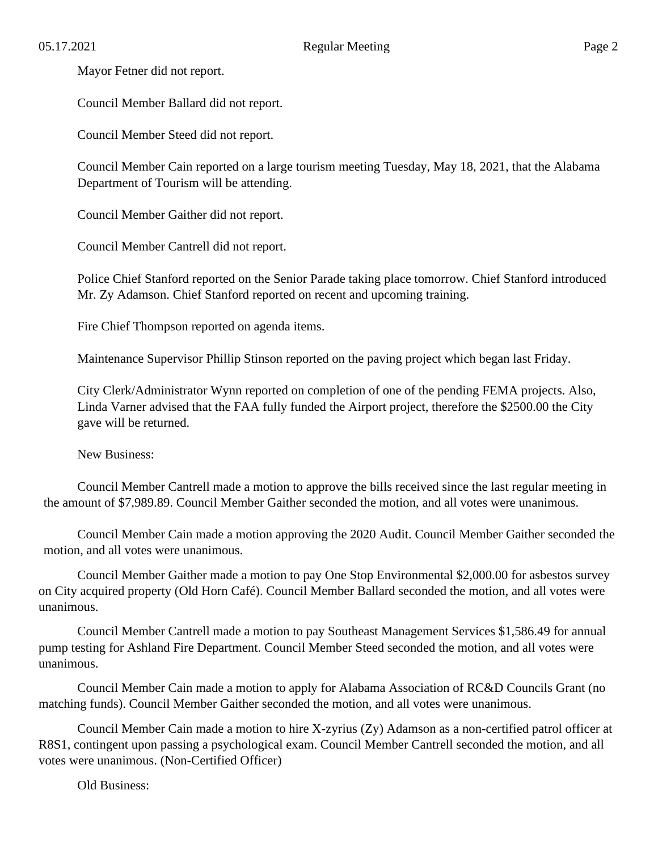Mayor Fetner did not report.

Council Member Ballard did not report.

Council Member Steed did not report.

Council Member Cain reported on a large tourism meeting Tuesday, May 18, 2021, that the Alabama Department of Tourism will be attending.

Council Member Gaither did not report.

Council Member Cantrell did not report.

Police Chief Stanford reported on the Senior Parade taking place tomorrow. Chief Stanford introduced Mr. Zy Adamson. Chief Stanford reported on recent and upcoming training.

Fire Chief Thompson reported on agenda items.

Maintenance Supervisor Phillip Stinson reported on the paving project which began last Friday.

City Clerk/Administrator Wynn reported on completion of one of the pending FEMA projects. Also, Linda Varner advised that the FAA fully funded the Airport project, therefore the \$2500.00 the City gave will be returned.

New Business:

Council Member Cantrell made a motion to approve the bills received since the last regular meeting in the amount of \$7,989.89. Council Member Gaither seconded the motion, and all votes were unanimous.

Council Member Cain made a motion approving the 2020 Audit. Council Member Gaither seconded the motion, and all votes were unanimous.

Council Member Gaither made a motion to pay One Stop Environmental \$2,000.00 for asbestos survey on City acquired property (Old Horn Café). Council Member Ballard seconded the motion, and all votes were unanimous.

Council Member Cantrell made a motion to pay Southeast Management Services \$1,586.49 for annual pump testing for Ashland Fire Department. Council Member Steed seconded the motion, and all votes were unanimous.

Council Member Cain made a motion to apply for Alabama Association of RC&D Councils Grant (no matching funds). Council Member Gaither seconded the motion, and all votes were unanimous.

Council Member Cain made a motion to hire X-zyrius (Zy) Adamson as a non-certified patrol officer at R8S1, contingent upon passing a psychological exam. Council Member Cantrell seconded the motion, and all votes were unanimous. (Non-Certified Officer)

Old Business: